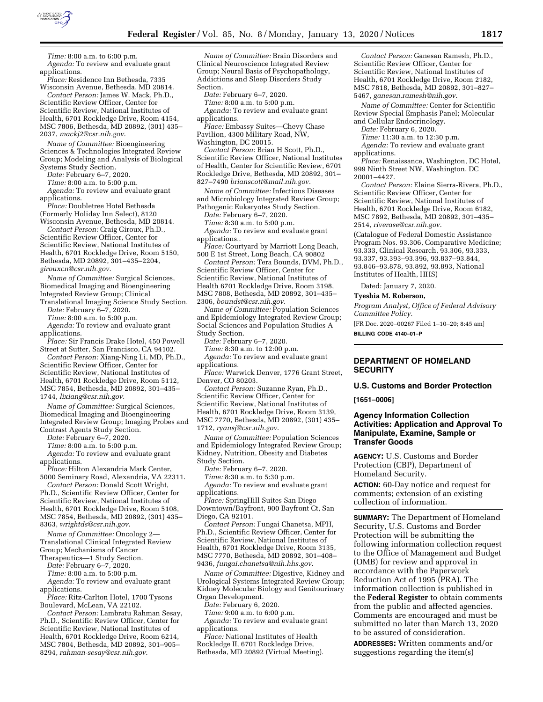

*Time:* 8:00 a.m. to 6:00 p.m. *Agenda:* To review and evaluate grant applications.

*Place:* Residence Inn Bethesda, 7335 Wisconsin Avenue, Bethesda, MD 20814. *Contact Person:* James W. Mack, Ph.D.,

Scientific Review Officer, Center for Scientific Review, National Institutes of Health, 6701 Rockledge Drive, Room 4154, MSC 7806, Bethesda, MD 20892, (301) 435– 2037, *[mackj2@csr.nih.gov](mailto:mackj2@csr.nih.gov)*.

*Name of Committee:* Bioengineering Sciences & Technologies Integrated Review Group; Modeling and Analysis of Biological Systems Study Section.

*Date:* February 6–7, 2020.

*Time:* 8:00 a.m. to 5:00 p.m.

*Agenda:* To review and evaluate grant applications.

*Place:* Doubletree Hotel Bethesda (Formerly Holiday Inn Select), 8120 Wisconsin Avenue, Bethesda, MD 20814.

*Contact Person:* Craig Giroux, Ph.D., Scientific Review Officer, Center for Scientific Review, National Institutes of Health, 6701 Rockledge Drive, Room 5150, Bethesda, MD 20892, 301–435–2204, *[girouxcn@csr.nih.gov](mailto:girouxcn@csr.nih.gov)*.

*Name of Committee:* Surgical Sciences, Biomedical Imaging and Bioengineering Integrated Review Group; Clinical

Translational Imaging Science Study Section. *Date:* February 6–7, 2020.

*Time:* 8:00 a.m. to 5:00 p.m.

*Agenda:* To review and evaluate grant applications.

*Place:* Sir Francis Drake Hotel, 450 Powell Street at Sutter, San Francisco, CA 94102.

*Contact Person:* Xiang-Ning Li, MD, Ph.D., Scientific Review Officer, Center for Scientific Review, National Institutes of Health, 6701 Rockledge Drive, Room 5112, MSC 7854, Bethesda, MD 20892, 301–435– 1744, *[lixiang@csr.nih.gov](mailto:lixiang@csr.nih.gov)*.

*Name of Committee:* Surgical Sciences, Biomedical Imaging and Bioengineering Integrated Review Group; Imaging Probes and Contrast Agents Study Section.

*Date:* February 6–7, 2020.

*Time:* 8:00 a.m. to 5:00 p.m.

*Agenda:* To review and evaluate grant applications.

*Place:* Hilton Alexandria Mark Center, 5000 Seminary Road, Alexandria, VA 22311.

*Contact Person:* Donald Scott Wright, Ph.D., Scientific Review Officer, Center for Scientific Review, National Institutes of Health, 6701 Rockledge Drive, Room 5108, MSC 7854, Bethesda, MD 20892, (301) 435– 8363, *[wrightds@csr.nih.gov](mailto:wrightds@csr.nih.gov)*.

*Name of Committee:* Oncology 2— Translational Clinical Integrated Review

Group; Mechanisms of Cancer

Therapeutics—1 Study Section.

*Date:* February 6–7, 2020. *Time:* 8:00 a.m. to 5:00 p.m.

*Agenda:* To review and evaluate grant applications.

*Place:* Ritz-Carlton Hotel, 1700 Tysons Boulevard, McLean, VA 22102.

*Contact Person:* Lambratu Rahman Sesay, Ph.D., Scientific Review Officer, Center for Scientific Review, National Institutes of Health, 6701 Rockledge Drive, Room 6214, MSC 7804, Bethesda, MD 20892, 301–905– 8294, *[rahman-sesay@csr.nih.gov](mailto:rahman-sesay@csr.nih.gov)*.

*Name of Committee:* Brain Disorders and Clinical Neuroscience Integrated Review Group; Neural Basis of Psychopathology, Addictions and Sleep Disorders Study Section.

*Date:* February 6–7, 2020.

*Time:* 8:00 a.m. to 5:00 p.m. Agenda: To review and evaluate grant applications.

*Place:* Embassy Suites—Chevy Chase Pavilion, 4300 Military Road, NW,

Washington, DC 20015.

*Contact Person:* Brian H Scott, Ph.D., Scientific Review Officer, National Institutes of Health, Center for Scientific Review, 6701 Rockledge Drive, Bethesda, MD 20892, 301– 827–7490 *[brianscott@mail.nih.gov](mailto:brianscott@mail.nih.gov)*.

*Name of Committee:* Infectious Diseases and Microbiology Integrated Review Group; Pathogenic Eukaryotes Study Section.

*Date:* February 6–7, 2020.

*Time:* 8:30 a.m. to 5:00 p.m. *Agenda:* To review and evaluate grant applications..

*Place:* Courtyard by Marriott Long Beach, 500 E 1st Street, Long Beach, CA 90802

*Contact Person:* Tera Bounds, DVM, Ph.D., Scientific Review Officer, Center for Scientific Review, National Institutes of Health 6701 Rockledge Drive, Room 3198, MSC 7808, Bethesda, MD 20892, 301–435– 2306, *[boundst@csr.nih.gov](mailto:boundst@csr.nih.gov)*.

*Name of Committee:* Population Sciences and Epidemiology Integrated Review Group; Social Sciences and Population Studies A Study Section.

*Date:* February 6–7, 2020.

*Time:* 8:30 a.m. to 12:00 p.m. *Agenda:* To review and evaluate grant applications.

*Place:* Warwick Denver, 1776 Grant Street, Denver, CO 80203.

*Contact Person:* Suzanne Ryan, Ph.D., Scientific Review Officer, Center for Scientific Review, National Institutes of Health, 6701 Rockledge Drive, Room 3139, MSC 7770, Bethesda, MD 20892, (301) 435– 1712, *[ryansj@csr.nih.gov](mailto:ryansj@csr.nih.gov)*.

*Name of Committee:* Population Sciences and Epidemiology Integrated Review Group; Kidney, Nutrition, Obesity and Diabetes Study Section.

*Date:* February 6–7, 2020.

*Time:* 8:30 a.m. to 5:30 p.m.

*Agenda:* To review and evaluate grant applications.

*Place:* SpringHill Suites San Diego Downtown/Bayfront, 900 Bayfront Ct, San Diego, CA 92101.

*Contact Person:* Fungai Chanetsa, MPH, Ph.D., Scientific Review Officer, Center for Scientific Review, National Institutes of Health, 6701 Rockledge Drive, Room 3135, MSC 7770, Bethesda, MD 20892, 301–408– 9436, *[fungai.chanetsa@nih.hhs.gov](mailto:fungai.chanetsa@nih.hhs.gov)*.

*Name of Committee:* Digestive, Kidney and Urological Systems Integrated Review Group; Kidney Molecular Biology and Genitourinary Organ Development.

*Date:* February 6, 2020.

*Time:* 9:00 a.m. to 6:00 p.m. *Agenda:* To review and evaluate grant applications.

*Place:* National Institutes of Health Rockledge II, 6701 Rockledge Drive, Bethesda, MD 20892 (Virtual Meeting).

*Contact Person:* Ganesan Ramesh, Ph.D., Scientific Review Officer, Center for Scientific Review, National Institutes of Health, 6701 Rockledge Drive, Room 2182, MSC 7818, Bethesda, MD 20892, 301–827– 5467, *[ganesan.ramesh@nih.gov](mailto:ganesan.ramesh@nih.gov)*.

*Name of Committee:* Center for Scientific Review Special Emphasis Panel; Molecular and Cellular Endocrinology.

*Date:* February 6, 2020.

*Time:* 11:30 a.m. to 12:30 p.m.

*Agenda:* To review and evaluate grant applications.

*Place:* Renaissance, Washington, DC Hotel, 999 Ninth Street NW, Washington, DC 20001–4427.

*Contact Person:* Elaine Sierra-Rivera, Ph.D., Scientific Review Officer, Center for Scientific Review, National Institutes of Health, 6701 Rockledge Drive, Room 6182, MSC 7892, Bethesda, MD 20892, 301–435– 2514, *[riverase@csr.nih.gov](mailto:riverase@csr.nih.gov)*.

(Catalogue of Federal Domestic Assistance Program Nos. 93.306, Comparative Medicine; 93.333, Clinical Research, 93.306, 93.333, 93.337, 93.393–93.396, 93.837–93.844, 93.846–93.878, 93.892, 93.893, National Institutes of Health, HHS)

Dated: January 7, 2020.

**Tyeshia M. Roberson,** 

*Program Analyst, Office of Federal Advisory Committee Policy.* 

[FR Doc. 2020–00267 Filed 1–10–20; 8:45 am] **BILLING CODE 4140–01–P** 

# **DEPARTMENT OF HOMELAND SECURITY**

#### **U.S. Customs and Border Protection**

**[1651–0006]** 

### **Agency Information Collection Activities: Application and Approval To Manipulate, Examine, Sample or Transfer Goods**

**AGENCY:** U.S. Customs and Border Protection (CBP), Department of Homeland Security.

**ACTION:** 60-Day notice and request for comments; extension of an existing collection of information.

**SUMMARY:** The Department of Homeland Security, U.S. Customs and Border Protection will be submitting the following information collection request to the Office of Management and Budget (OMB) for review and approval in accordance with the Paperwork Reduction Act of 1995 (PRA). The information collection is published in the **Federal Register** to obtain comments from the public and affected agencies. Comments are encouraged and must be submitted no later than March 13, 2020 to be assured of consideration.

**ADDRESSES:** Written comments and/or suggestions regarding the item(s)